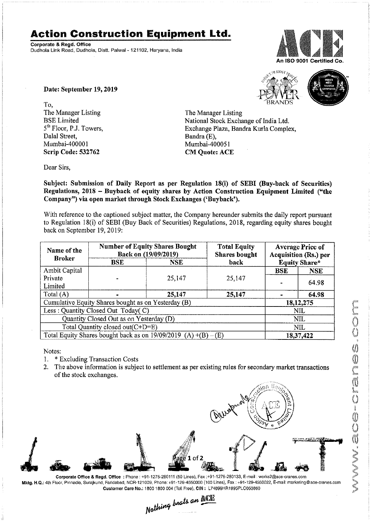## Action Construction Equipment Ltd.

Corporate 8. Regd. Office Dudhola Link Road, Dudhoia, Distt. Palwai <sup>~</sup> 121102, Haryana, lndia



To, the contract of the contract of the contract of the contract of the contract of the contract of the contract of the contract of the contract of the contract of the contract of the contract of the contract of the contra The Manager Listing<br>
BSE Limited<br>
The Manager Listing<br>
National Stock Excha Dalal Street, Bandra (E), Mumbai-400001 Scrip Code: 532762 CM Quote: ACE

Date: September 19, 2019





BSE Limited National Stock Exchange of India Ltd.<br>
5<sup>th</sup> Floor, P.J. Towers, Exchange Plaza, Bandra Kurla Comple Exchange Plaza, Bandra Kurla Complex, Bandra (E),

Dear Sirs,

Subject: Submission of Daily Report as per Regulation 18(1) of SEBI (Buy-back of Securities) Regulations, 2018 - Buyback of equity shares by Action Construction Equipment Limited ("the Company") via open market through Stock Exchanges ('Buyback').

With reference to the captioned subject matter, the Company hereunder submits the daily report pursuant to Regulation 18(i) of SEBI (Buy Back of Securities) Regulations, 2018, regarding equity shares bought back on September 19, 2019:

| Name of the<br><b>Broker</b>                                      | <b>Number of Equity Shares Bought</b><br>Back on (19/09/2019) |            | <b>Total Equity</b><br><b>Shares bought</b> | <b>Average Price of</b><br>Acquisition (Rs.) per |                      |  |
|-------------------------------------------------------------------|---------------------------------------------------------------|------------|---------------------------------------------|--------------------------------------------------|----------------------|--|
|                                                                   | <b>BSE</b>                                                    | <b>NSE</b> | back                                        |                                                  | <b>Equity Share*</b> |  |
| Ambit Capital                                                     |                                                               |            |                                             | <b>BSE</b>                                       | <b>NSE</b>           |  |
| Private<br>Limited                                                |                                                               | 25,147     | 25,147                                      |                                                  | 64.98                |  |
| Total (A)                                                         |                                                               | 25,147     | 25,147                                      |                                                  | 64.98                |  |
|                                                                   | Cumulative Equity Shares bought as on Yesterday (B)           |            |                                             |                                                  | 18, 12, 275          |  |
|                                                                   | Less: Quantity Closed Out Today(C)                            |            |                                             | NIL                                              |                      |  |
| Quantity Closed Out as on Yesterday (D)                           |                                                               |            |                                             | <b>NIL</b>                                       |                      |  |
| Total Quantity closed out(C+D=E)                                  |                                                               |            |                                             | <b>NIL</b>                                       |                      |  |
| Total Equity Shares bought back as on $19/09/2019$ (A) +(B) – (E) |                                                               |            |                                             | 18,37,422                                        |                      |  |

Notes: where  $\mathcal{M}$ 

- 1. \* Excluding Transaction Costs  $\bigcirc$
- of the stock exchanges.



Corporate Office & Regd. Office: Phone: +91-1275-280111 (50 Lines), Fax :+91-1275-280133, E-mail: works2@ace-cranes.com Mktg.H.Q.: 4th Floor Pinnacle, Surajkund Faridabad, NCFi- 121009, Phone: +91- 129-4550000 (100 Lines) Fax: +91- 129-4550022 E-mail. marketing@ace-cranes.cnm customer Care No.: 15001500 004 (Toll Free), CIN : L74699HR1995PL0053660